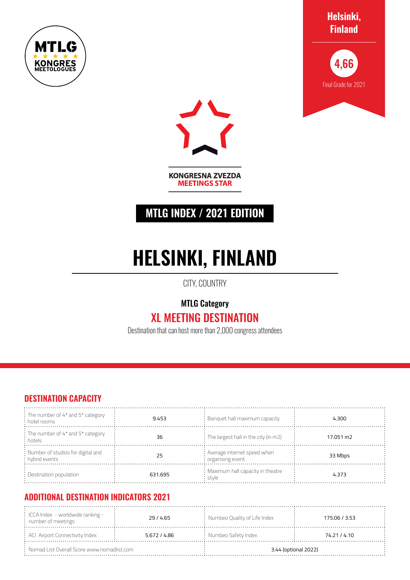







**KONGRESNA ZVEZDA MEETINGS STAR** 

## **MTLG INDEX / 2021 EDITION**

# **HELSINKI, FINLAND**

CITY, COUNTRY

## MTLG Category

## XL MEETING DESTINATION

Destination that can host more than 2,000 congress attendees

#### **DESTINATION CAPACITY**

| $\frac{1}{2}$ The number of 4* and 5* category<br>: hotel rooms | 9.453   | $\colon$ Banquet hall maximum capacity                          | 4.300     |
|-----------------------------------------------------------------|---------|-----------------------------------------------------------------|-----------|
| : The number of 4* and 5* category<br>: hotels                  | 36      | $\frac{1}{2}$ The largest hall in the city (in m2)              | 17.051 m2 |
| : Number of studios for digital and<br>: hybrid events          | 25      | : Average internet speed when<br>$\frac{1}{2}$ organising event | 33 Mbps   |
| : Destination population                                        | 631.695 | : Maximum hall capacity in theatre<br>stvle                     | 4.373     |

### **ADDITIONAL DESTINATION INDICATORS 2021**

| $\therefore$ ICCA Index - worldwide ranking -<br>: number of meetings | 29/4.65      | : Numbeo Quality of Life Index | 175.06 / 3.53        |
|-----------------------------------------------------------------------|--------------|--------------------------------|----------------------|
| : ACI Airport Connectivity Index:                                     | 5.672 / 4.86 | $:$ Numbeo Safety Index        | 74.21 / 4.10         |
| $\therefore$ Nomad List Overall Score www.nomadlist.com :             |              |                                | 3.44 (optional 2022) |